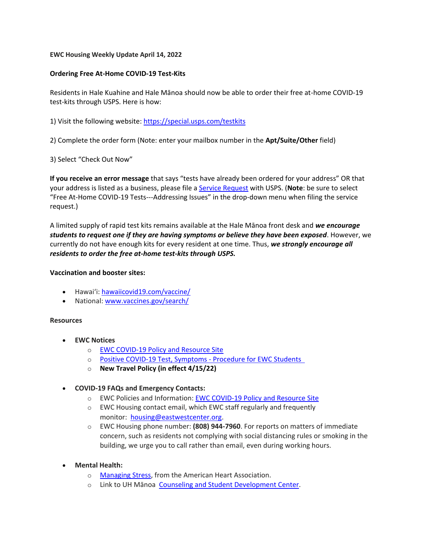#### **EWC Housing Weekly Update April 14, 2022**

## **Ordering Free At-Home COVID-19 Test-Kits**

Residents in Hale Kuahine and Hale Mānoa should now be able to order their free at-home COVID-19 test-kits through USPS. Here is how:

1) Visit the following website: [https://special.usps.com/testkits](https://urldefense.proofpoint.com/v2/url?u=https-3A__special.usps.com_testkits&d=DwMFaQ&c=euGZstcaTDllvimEN8b7jXrwqOf-v5A_CdpgnVfiiMM&r=sjCoHaVUe8_a1MXsziR411ri4sB3BX3q50L3el6sXMQ&m=NNrje2XMWvjfz3_R-kmUAfwiv9ozf8mwGTmGJb3I-Gc&s=5eSHiNwavuJhoQD322wYzTJThLGghiNEdrfcOHn2T6I&e=)

2) Complete the order form (Note: enter your mailbox number in the **Apt/Suite/Other** field)

3) Select "Check Out Now"

**If you receive an error message** that says "tests have already been ordered for your address" OR that your address is listed as a business, please file a [Service Request](https://urldefense.proofpoint.com/v2/url?u=https-3A__emailus.usps.com_s_the-2Dpostal-2Dstore-2Dinquiry&d=DwMFaQ&c=euGZstcaTDllvimEN8b7jXrwqOf-v5A_CdpgnVfiiMM&r=sjCoHaVUe8_a1MXsziR411ri4sB3BX3q50L3el6sXMQ&m=NNrje2XMWvjfz3_R-kmUAfwiv9ozf8mwGTmGJb3I-Gc&s=iWW8By-A7eZ4yWQElmTnaRk5QGrsio2D8n_tqHFqXgQ&e=) with USPS. (**Note**: be sure to select "Free At-Home COVID-19 Tests---Addressing Issues" in the drop-down menu when filing the service request.)

A limited supply of rapid test kits remains available at the Hale Mānoa front desk and *we encourage students to request one if they are having symptoms or believe they have been exposed*. However, we currently do not have enough kits for every resident at one time. Thus, *we strongly encourage all residents to order the free at-home test-kits through USPS.* 

#### **Vaccination and booster sites:**

- Hawaiʻi: [hawaiicovid19.com/vaccine/](https://hawaiicovid19.com/vaccine/)
- National: [www.vaccines.gov/search/](https://urldefense.proofpoint.com/v2/url?u=https-3A__www.vaccines.gov_search_&d=DwMFaQ&c=euGZstcaTDllvimEN8b7jXrwqOf-v5A_CdpgnVfiiMM&r=sjCoHaVUe8_a1MXsziR411ri4sB3BX3q50L3el6sXMQ&m=NNrje2XMWvjfz3_R-kmUAfwiv9ozf8mwGTmGJb3I-Gc&s=yqDbfmt3MGnXiwl82heIxvHvo_UrK0SuqO2xS8SvVYw&e=)

## **Resources**

- **EWC Notices**
	- o [EWC COVID-19 Policy and Resource Site](https://urldefense.proofpoint.com/v2/url?u=https-3A__ewcparticipantinfo.org_covid-2D19_&d=DwMFaQ&c=euGZstcaTDllvimEN8b7jXrwqOf-v5A_CdpgnVfiiMM&r=3FPQcXK5sxYRrGCCxQc5PNSb-_SuaL_bSgfyHLgu3XI&m=NeEuRGBZcB6XdPpyhoUn4swvNjBnveDWGZ1brp8cIwI&s=psWXjZhChjGDJkHaOVt2bwTJxxk1NVhXgu70sXTpbpE&e=)
	- o Positive COVID-19 [Test, Symptoms](https://urldefense.proofpoint.com/v2/url?u=https-3A__ewcparticipantinfo.org_wp-2Dcontent_uploads_2021_11_Positive-2DTest-2DSymptoms-2DProcedure-2Dfor-2DStudents.pdf&d=DwMFaQ&c=euGZstcaTDllvimEN8b7jXrwqOf-v5A_CdpgnVfiiMM&r=sjCoHaVUe8_a1MXsziR411ri4sB3BX3q50L3el6sXMQ&m=NNrje2XMWvjfz3_R-kmUAfwiv9ozf8mwGTmGJb3I-Gc&s=H-mI6zwSB57w53xWe4M7GhaerHw7L-blhgZcZFd3tn4&e=) Procedure for EWC Students
	- o **[New Travel Policy \(in effect 4/15/22\)](https://urldefense.proofpoint.com/v2/url?u=https-3A__ewcparticipantinfo.org_wp-2Dcontent_uploads_2022_04_EWC-2DTravel-2DPolicy-2D4-2D15-2D22.pdf&d=DwMFaQ&c=euGZstcaTDllvimEN8b7jXrwqOf-v5A_CdpgnVfiiMM&r=sjCoHaVUe8_a1MXsziR411ri4sB3BX3q50L3el6sXMQ&m=NNrje2XMWvjfz3_R-kmUAfwiv9ozf8mwGTmGJb3I-Gc&s=SxmdDvHQLfkyX-QixlWh0p-crpFlm2jSVAHzE7BG6tQ&e=)**
- **COVID-19 FAQs and Emergency Contacts:**
	- o EWC Policies and Information: [EWC COVID-19 Policy and Resource Site](https://urldefense.proofpoint.com/v2/url?u=https-3A__ewcparticipantinfo.org_covid-2D19_&d=DwMFaQ&c=euGZstcaTDllvimEN8b7jXrwqOf-v5A_CdpgnVfiiMM&r=3FPQcXK5sxYRrGCCxQc5PNSb-_SuaL_bSgfyHLgu3XI&m=NeEuRGBZcB6XdPpyhoUn4swvNjBnveDWGZ1brp8cIwI&s=psWXjZhChjGDJkHaOVt2bwTJxxk1NVhXgu70sXTpbpE&e=)
	- o EWC Housing contact email, which EWC staff regularly and frequently monitor: [housing@eastwestcenter.org.](mailto:housing@eastwestcenter.org)
	- o EWC Housing phone number: **(808) 944-7960**. For reports on matters of immediate concern, such as residents not complying with social distancing rules or smoking in the building, we urge you to call rather than email, even during working hours.
- **Mental Health:**
	- o [Managing Stress,](https://urldefense.proofpoint.com/v2/url?u=https-3A__www.heart.org_en_healthy-2Dliving_healthy-2Dlifestyle_stress-2Dmanagement_3-2Dtips-2Dto-2Dmanage-2Dstress&d=DwMFaQ&c=euGZstcaTDllvimEN8b7jXrwqOf-v5A_CdpgnVfiiMM&r=3FPQcXK5sxYRrGCCxQc5PNSb-_SuaL_bSgfyHLgu3XI&m=DFa_g2AmhabelwvrqHcTxuYqCMz5HzQYOl-ITmKQUfY&s=brkk3h1YsapP-lIVcxt7MNYAlm4bQtz7YKIJGofeUkY&e=) from the American Heart Association.
	- o Link to UH Mānoa [Counseling and Student Development Center.](https://urldefense.proofpoint.com/v2/url?u=http-3A__www.manoa.hawaii.edu_counseling&d=DwMFaQ&c=euGZstcaTDllvimEN8b7jXrwqOf-v5A_CdpgnVfiiMM&r=3FPQcXK5sxYRrGCCxQc5PNSb-_SuaL_bSgfyHLgu3XI&m=am0JUX--VmENU0jPP_iW6ma-yLR9-vpVCXYuYLP_pnQ&s=KLUr2I-87m8x7gT-LRZ1FsUmDxTlS04cGYG1bEY4eOo&e=)